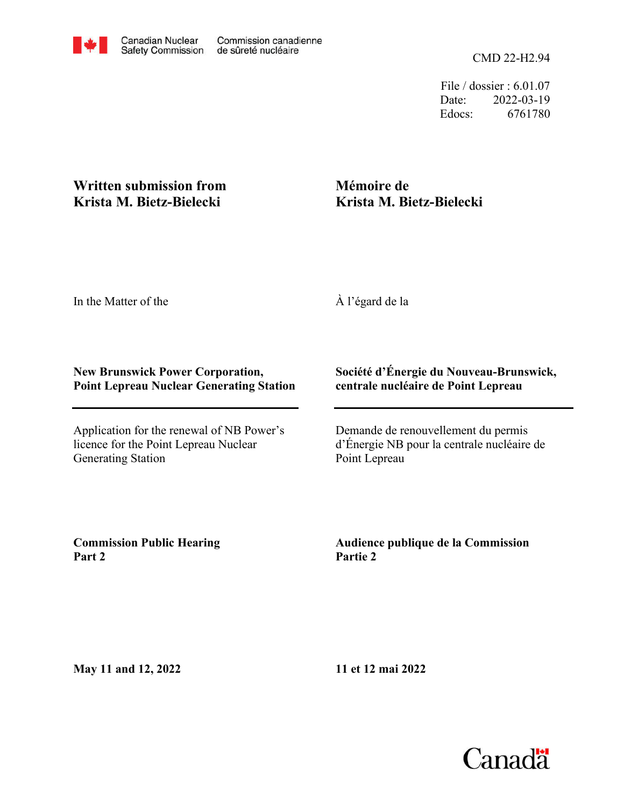CMD 22-H2.94

File / dossier : 6.01.07 Date: 2022-03-19 Edocs: 6761780

# **Written submission from Krista M. Bietz-Bielecki**

# **Mémoire de Krista M. Bietz-Bielecki**

In the Matter of the

À l'égard de la

### **New Brunswick Power Corporation, Point Lepreau Nuclear Generating Station**

Application for the renewal of NB Power's licence for the Point Lepreau Nuclear Generating Station

### **Société d'Énergie du Nouveau-Brunswick, centrale nucléaire de Point Lepreau**

Demande de renouvellement du permis d'Énergie NB pour la centrale nucléaire de Point Lepreau

**Commission Public Hearing Part 2**

**Audience publique de la Commission Partie 2**

**May 11 and 12, 2022**

**11 et 12 mai 2022**

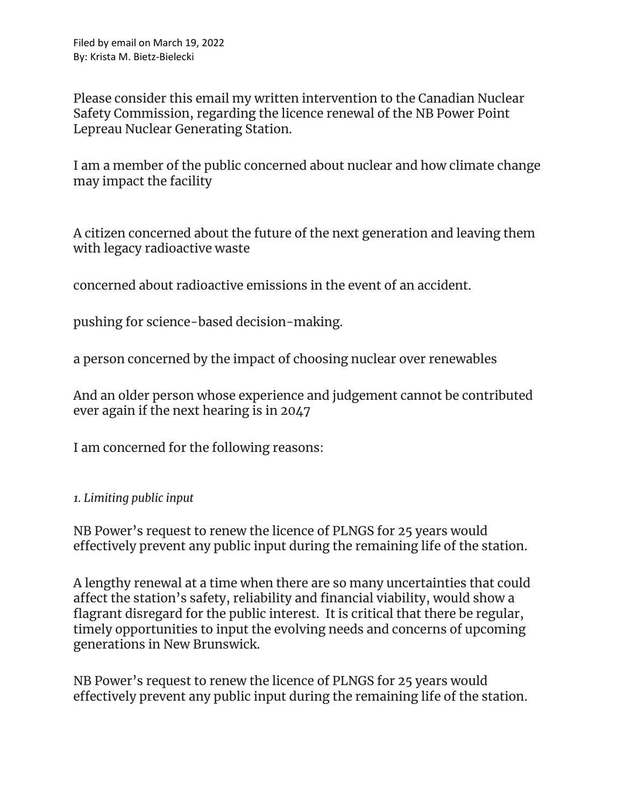Please consider this email my written intervention to the Canadian Nuclear Safety Commission, regarding the licence renewal of the NB Power Point Lepreau Nuclear Generating Station.

I am a member of the public concerned about nuclear and how climate change may impact the facility

A citizen concerned about the future of the next generation and leaving them with legacy radioactive waste

concerned about radioactive emissions in the event of an accident.

pushing for science-based decision-making.

a person concerned by the impact of choosing nuclear over renewables

And an older person whose experience and judgement cannot be contributed ever again if the next hearing is in 2047

I am concerned for the following reasons:

#### *1. Limiting public input*

NB Power's request to renew the licence of PLNGS for 25 years would effectively prevent any public input during the remaining life of the station.

A lengthy renewal at a time when there are so many uncertainties that could affect the station's safety, reliability and financial viability, would show a flagrant disregard for the public interest. It is critical that there be regular, timely opportunities to input the evolving needs and concerns of upcoming generations in New Brunswick.

NB Power's request to renew the licence of PLNGS for 25 years would effectively prevent any public input during the remaining life of the station.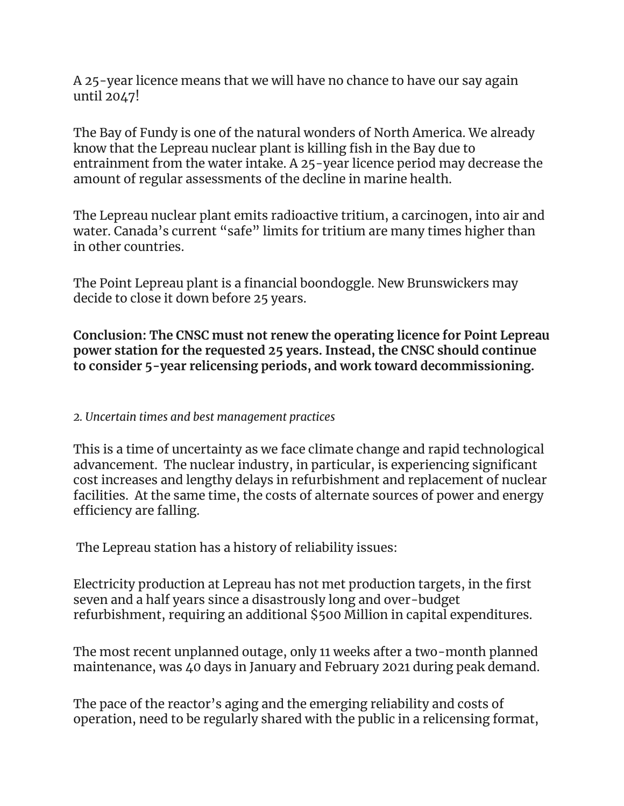A 25-year licence means that we will have no chance to have our say again until 2047!

The Bay of Fundy is one of the natural wonders of North America. We already know that the Lepreau nuclear plant is killing fish in the Bay due to entrainment from the water intake. A 25-year licence period may decrease the amount of regular assessments of the decline in marine health.

The Lepreau nuclear plant emits radioactive tritium, a carcinogen, into air and water. Canada's current "safe" limits for tritium are many times higher than in other countries.

The Point Lepreau plant is a financial boondoggle. New Brunswickers may decide to close it down before 25 years.

**Conclusion: The CNSC must not renew the operating licence for Point Lepreau power station for the requested 25 years. Instead, the CNSC should continue to consider 5-year relicensing periods, and work toward decommissioning.**

### *2. Uncertain times and best management practices*

This is a time of uncertainty as we face climate change and rapid technological advancement. The nuclear industry, in particular, is experiencing significant cost increases and lengthy delays in refurbishment and replacement of nuclear facilities. At the same time, the costs of alternate sources of power and energy efficiency are falling.

The Lepreau station has a history of reliability issues:

Electricity production at Lepreau has not met production targets, in the first seven and a half years since a disastrously long and over-budget refurbishment, requiring an additional \$500 Million in capital expenditures.

The most recent unplanned outage, only 11 weeks after a two-month planned maintenance, was 40 days in January and February 2021 during peak demand.

The pace of the reactor's aging and the emerging reliability and costs of operation, need to be regularly shared with the public in a relicensing format,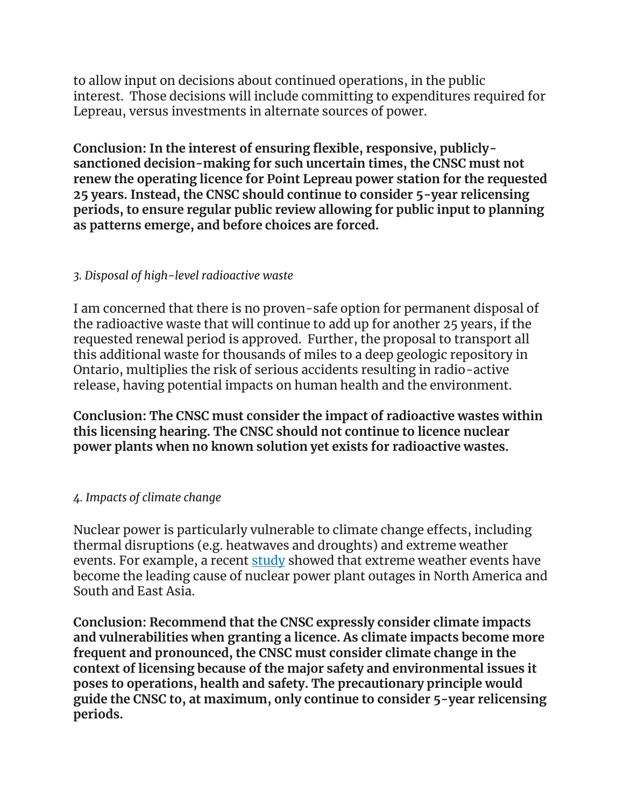to allow input on decisions about continued operations, in the public interest. Those decisions will include committing to expenditures required for Lepreau, versus investments in alternate sources of power.

**Conclusion: In the interest of ensuring flexible, responsive, publiclysanctioned decision-making for such uncertain times, the CNSC must not renew the operating licence for Point Lepreau power station for the requested 25 years. Instead, the CNSC should continue to consider 5-year relicensing periods, to ensure regular public review allowing for public input to planning as patterns emerge, and before choices are forced.**

### *3. Disposal of high-level radioactive waste*

I am concerned that there is no proven-safe option for permanent disposal of the radioactive waste that will continue to add up for another 25 years, if the requested renewal period is approved. Further, the proposal to transport all this additional waste for thousands of miles to a deep geologic repository in Ontario, multiplies the risk of serious accidents resulting in radio-active release, having potential impacts on human health and the environment.

**Conclusion: The CNSC must consider the impact of radioactive wastes within this licensing hearing. The CNSC should not continue to licence nuclear power plants when no known solution yet exists for radioactive wastes.**

### *4. Impacts of climate change*

Nuclear power is particularly vulnerable to climate change effects, including thermal disruptions (e.g. heatwaves and droughts) and extreme weather events. For example, a recent [study](https://www.nature.com/articles/s41560-021-00849-y) showed that extreme weather events have become the leading cause of nuclear power plant outages in North America and South and East Asia.

**Conclusion: Recommend that the CNSC expressly consider climate impacts and vulnerabilities when granting a licence. As climate impacts become more frequent and pronounced, the CNSC must consider climate change in the context of licensing because of the major safety and environmental issues it poses to operations, health and safety. The precautionary principle would guide the CNSC to, at maximum, only continue to consider 5-year relicensing periods.**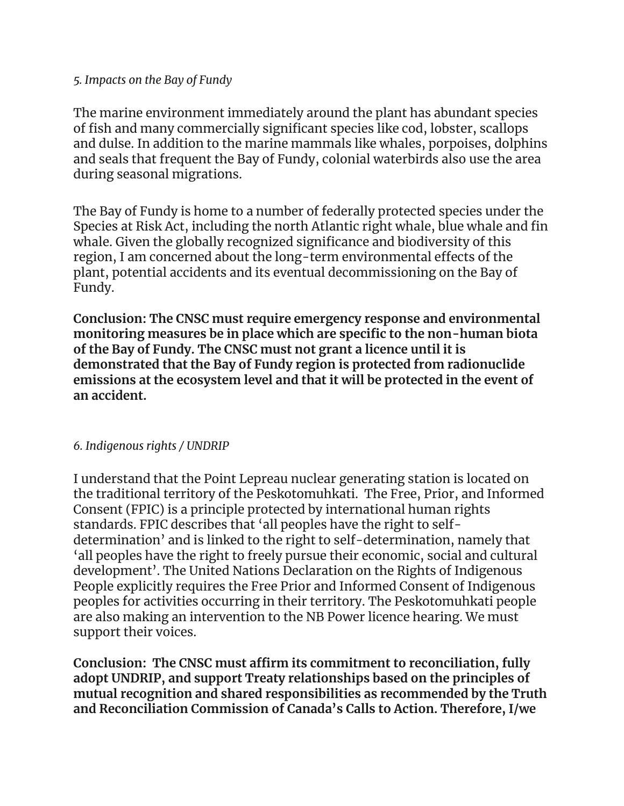#### *5. Impacts on the Bay of Fundy*

The marine environment immediately around the plant has abundant species of fish and many commercially significant species like cod, lobster, scallops and dulse. In addition to the marine mammals like whales, porpoises, dolphins and seals that frequent the Bay of Fundy, colonial waterbirds also use the area during seasonal migrations.

The Bay of Fundy is home to a number of federally protected species under the Species at Risk Act, including the north Atlantic right whale, blue whale and fin whale. Given the globally recognized significance and biodiversity of this region, I am concerned about the long-term environmental effects of the plant, potential accidents and its eventual decommissioning on the Bay of Fundy.

**Conclusion: The CNSC must require emergency response and environmental monitoring measures be in place which are specific to the non-human biota of the Bay of Fundy. The CNSC must not grant a licence until it is demonstrated that the Bay of Fundy region is protected from radionuclide emissions at the ecosystem level and that it will be protected in the event of an accident.**

#### *6. Indigenous rights / UNDRIP*

I understand that the Point Lepreau nuclear generating station is located on the traditional territory of the Peskotomuhkati. The Free, Prior, and Informed Consent (FPIC) is a principle protected by international human rights standards. FPIC describes that 'all peoples have the right to selfdetermination' and is linked to the right to self-determination, namely that 'all peoples have the right to freely pursue their economic, social and cultural development'. The United Nations Declaration on the Rights of Indigenous People explicitly requires the Free Prior and Informed Consent of Indigenous peoples for activities occurring in their territory. The Peskotomuhkati people are also making an intervention to the NB Power licence hearing. We must support their voices.

**Conclusion: The CNSC must affirm its commitment to reconciliation, fully adopt UNDRIP, and support Treaty relationships based on the principles of mutual recognition and shared responsibilities as recommended by the Truth and Reconciliation Commission of Canada's Calls to Action. Therefore, I/we**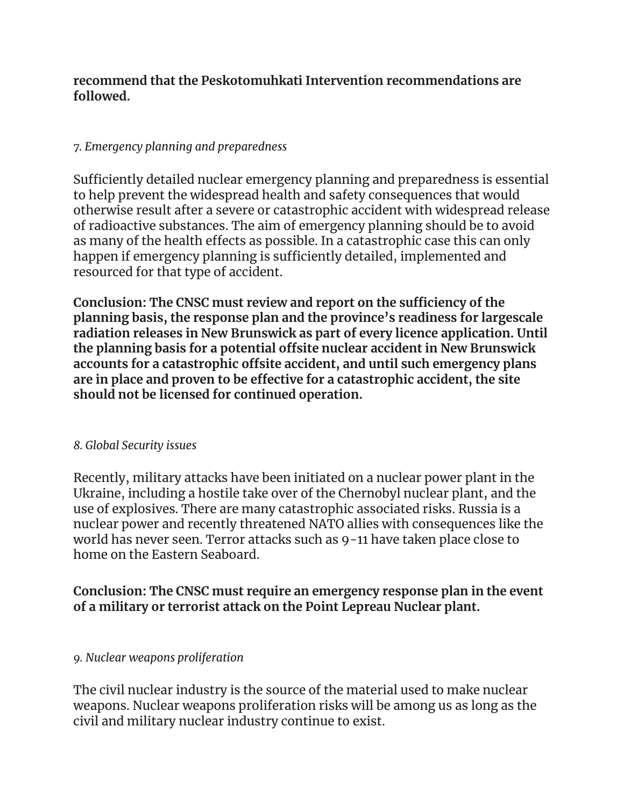### **recommend that the Peskotomuhkati Intervention recommendations are followed.**

### *7. Emergency planning and preparedness*

Sufficiently detailed nuclear emergency planning and preparedness is essential to help prevent the widespread health and safety consequences that would otherwise result after a severe or catastrophic accident with widespread release of radioactive substances. The aim of emergency planning should be to avoid as many of the health effects as possible. In a catastrophic case this can only happen if emergency planning is sufficiently detailed, implemented and resourced for that type of accident.

**Conclusion: The CNSC must review and report on the sufficiency of the planning basis, the response plan and the province's readiness for largescale radiation releases in New Brunswick as part of every licence application. Until the planning basis for a potential offsite nuclear accident in New Brunswick accounts for a catastrophic offsite accident, and until such emergency plans are in place and proven to be effective for a catastrophic accident, the site should not be licensed for continued operation.**

### *8. Global Security issues*

Recently, military attacks have been initiated on a nuclear power plant in the Ukraine, including a hostile take over of the Chernobyl nuclear plant, and the use of explosives. There are many catastrophic associated risks. Russia is a nuclear power and recently threatened NATO allies with consequences like the world has never seen. Terror attacks such as 9-11 have taken place close to home on the Eastern Seaboard.

# **Conclusion: The CNSC must require an emergency response plan in the event of a military or terrorist attack on the Point Lepreau Nuclear plant.**

### *9. Nuclear weapons proliferation*

The civil nuclear industry is the source of the material used to make nuclear weapons. Nuclear weapons proliferation risks will be among us as long as the civil and military nuclear industry continue to exist.